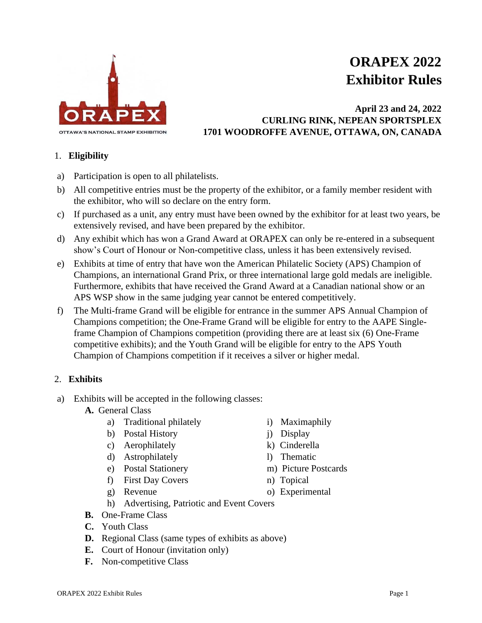

# **ORAPEX 2022 Exhibitor Rules**

## **April 23 and 24, 2022 CURLING RINK, NEPEAN SPORTSPLEX 1701 WOODROFFE AVENUE, OTTAWA, ON, CANADA**

#### 1. **Eligibility**

- a) Participation is open to all philatelists.
- b) All competitive entries must be the property of the exhibitor, or a family member resident with the exhibitor, who will so declare on the entry form.
- c) If purchased as a unit, any entry must have been owned by the exhibitor for at least two years, be extensively revised, and have been prepared by the exhibitor.
- d) Any exhibit which has won a Grand Award at ORAPEX can only be re-entered in a subsequent show's Court of Honour or Non-competitive class, unless it has been extensively revised.
- e) Exhibits at time of entry that have won the American Philatelic Society (APS) Champion of Champions, an international Grand Prix, or three international large gold medals are ineligible. Furthermore, exhibits that have received the Grand Award at a Canadian national show or an APS WSP show in the same judging year cannot be entered competitively.
- f) The Multi-frame Grand will be eligible for entrance in the summer APS Annual Champion of Champions competition; the One-Frame Grand will be eligible for entry to the AAPE Singleframe Champion of Champions competition (providing there are at least six (6) One-Frame competitive exhibits); and the Youth Grand will be eligible for entry to the APS Youth Champion of Champions competition if it receives a silver or higher medal.

#### 2. **Exhibits**

- a) Exhibits will be accepted in the following classes:
	- **A.** General Class
		- a) Traditional philately i) Maximaphily
		- b) Postal History i) Display
		- c) Aerophilately k) Cinderella
		- d) Astrophilately 1) Thematic
		-
		- f) First Day Covers n) Topical
		-
- 
- 
- 
- 
- e) Postal Stationery m) Picture Postcards
	-
- g) Revenue o) Experimental
- h) Advertising, Patriotic and Event Covers
- **B.** One-Frame Class
- **C.** Youth Class
- **D.** Regional Class (same types of exhibits as above)
- **E.** Court of Honour (invitation only)
- **F.** Non-competitive Class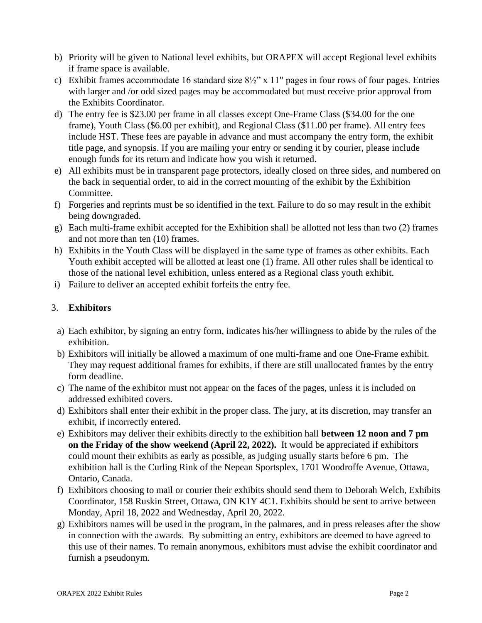- b) Priority will be given to National level exhibits, but ORAPEX will accept Regional level exhibits if frame space is available.
- c) Exhibit frames accommodate 16 standard size  $8\frac{1}{2}$ " x 11" pages in four rows of four pages. Entries with larger and /or odd sized pages may be accommodated but must receive prior approval from the Exhibits Coordinator.
- d) The entry fee is \$23.00 per frame in all classes except One-Frame Class (\$34.00 for the one frame), Youth Class (\$6.00 per exhibit), and Regional Class (\$11.00 per frame). All entry fees include HST. These fees are payable in advance and must accompany the entry form, the exhibit title page, and synopsis. If you are mailing your entry or sending it by courier, please include enough funds for its return and indicate how you wish it returned.
- e) All exhibits must be in transparent page protectors, ideally closed on three sides, and numbered on the back in sequential order, to aid in the correct mounting of the exhibit by the Exhibition Committee.
- f) Forgeries and reprints must be so identified in the text. Failure to do so may result in the exhibit being downgraded.
- g) Each multi-frame exhibit accepted for the Exhibition shall be allotted not less than two (2) frames and not more than ten (10) frames.
- h) Exhibits in the Youth Class will be displayed in the same type of frames as other exhibits. Each Youth exhibit accepted will be allotted at least one (1) frame. All other rules shall be identical to those of the national level exhibition, unless entered as a Regional class youth exhibit.
- i) Failure to deliver an accepted exhibit forfeits the entry fee.

### 3. **Exhibitors**

- a) Each exhibitor, by signing an entry form, indicates his/her willingness to abide by the rules of the exhibition.
- b) Exhibitors will initially be allowed a maximum of one multi-frame and one One-Frame exhibit. They may request additional frames for exhibits, if there are still unallocated frames by the entry form deadline.
- c) The name of the exhibitor must not appear on the faces of the pages, unless it is included on addressed exhibited covers.
- d) Exhibitors shall enter their exhibit in the proper class. The jury, at its discretion, may transfer an exhibit, if incorrectly entered.
- e) Exhibitors may deliver their exhibits directly to the exhibition hall **between 12 noon and 7 pm on the Friday of the show weekend (April 22, 2022).** It would be appreciated if exhibitors could mount their exhibits as early as possible, as judging usually starts before 6 pm. The exhibition hall is the Curling Rink of the Nepean Sportsplex, 1701 Woodroffe Avenue, Ottawa, Ontario, Canada.
- f) Exhibitors choosing to mail or courier their exhibits should send them to Deborah Welch, Exhibits Coordinator, 158 Ruskin Street, Ottawa, ON K1Y 4C1. Exhibits should be sent to arrive between Monday, April 18, 2022 and Wednesday, April 20, 2022.
- g) Exhibitors names will be used in the program, in the palmares, and in press releases after the show in connection with the awards. By submitting an entry, exhibitors are deemed to have agreed to this use of their names. To remain anonymous, exhibitors must advise the exhibit coordinator and furnish a pseudonym.